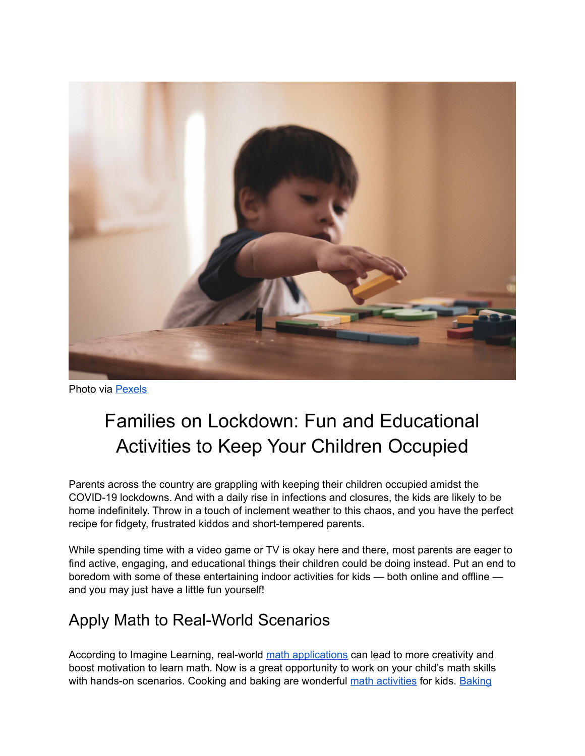

Photo via [Pexels](https://www.pexels.com/photo/boy-holding-block-toy-1598122/)

# Families on Lockdown: Fun and Educational Activities to Keep Your Children Occupied

Parents across the country are grappling with keeping their children occupied amidst the COVID-19 lockdowns. And with a daily rise in infections and closures, the kids are likely to be home indefinitely. Throw in a touch of inclement weather to this chaos, and you have the perfect recipe for fidgety, frustrated kiddos and short-tempered parents.

While spending time with a video game or TV is okay here and there, most parents are eager to find active, engaging, and educational things their children could be doing instead. Put an end to boredom with some of these entertaining indoor activities for kids — both online and offline and you may just have a little fun yourself!

## Apply Math to Real-World Scenarios

According to Imagine Learning, real-world [math applications](https://www.imaginelearning.com/blog/2017/04/math-real-life-examples) can lead to more creativity and boost motivation to learn math. Now is a great opportunity to work on your child's math skills with hands-on scenarios. Cooking and baking are wonderful [math activities](https://www.verywellfamily.com/everyday-home-math-activities-621043) for kids. [Baking](https://dragonbox.com/blog/learn-math-through-cooking)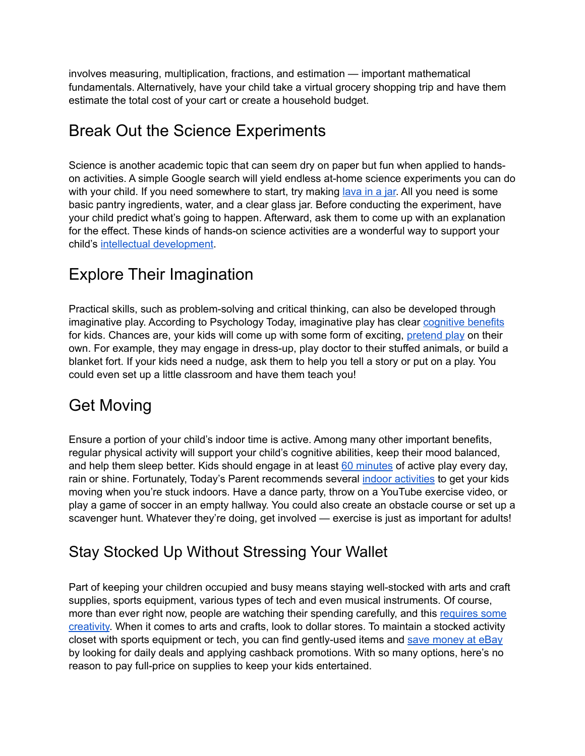involves measuring, multiplication, fractions, and estimation — important mathematical fundamentals. Alternatively, have your child take a virtual grocery shopping trip and have them estimate the total cost of your cart or create a household budget.

### Break Out the Science Experiments

Science is another academic topic that can seem dry on paper but fun when applied to handson activities. A simple Google search will yield endless at-home science experiments you can do with your child. If you need somewhere to start, try making [lava in a jar.](https://www.greenkidcrafts.com/lava-jar/) All you need is some basic pantry ingredients, water, and a clear glass jar. Before conducting the experiment, have your child predict what's going to happen. Afterward, ask them to come up with an explanation for the effect. These kinds of hands-on science activities are a wonderful way to support your child'[s intellectual development](https://www.learningliftoff.com/how-to-teach-kids-science-and-why-its-important/).

#### Explore Their Imagination

Practical skills, such as problem-solving and critical thinking, can also be developed through imaginative play. According to Psychology Today, imaginative play has clea[r cognitive benefits](https://www.psychologytoday.com/ca/blog/beautiful-minds/201203/the-need-pretend-play-in-child-development) for kids. Chances are, your kids will come up with some form of exciting, [pretend play](https://redtri.com/ways-to-encourage-your-childs-imagination/slide/1) on their own. For example, they may engage in dress-up, play doctor to their stuffed animals, or build a blanket fort. If your kids need a nudge, ask them to help you tell a story or put on a play. You could even set up a little classroom and have them teach you!

## Get Moving

Ensure a portion of your child's indoor time is active. Among many other important benefits, regular physical activity will support your child's cognitive abilities, keep their mood balanced, and help them sleep better. Kids should engage in at least [60 minutes](https://kidshealth.org/en/parents/exercise.html) of active play every day, rain or shine. Fortunately, Today's Parent recommends severa[l indoor activities](https://www.todaysparent.com/family/activities/15-ways-to-keep-kids-active-indoors-even-if-you-dont-have-much-space/) to get your kids moving when you're stuck indoors. Have a dance party, throw on a YouTube exercise video, or play a game of soccer in an empty hallway. You could also create an obstacle course or set up a scavenger hunt. Whatever they're doing, get involved — exercise is just as important for adults!

#### Stay Stocked Up Without Stressing Your Wallet

Part of keeping your children occupied and busy means staying well-stocked with arts and craft supplies, sports equipment, various types of tech and even musical instruments. Of course, more than ever right now, people are watching their spending carefully, and this requires some [creativity.](https://themotherhuddle.com/how-to-save-money-on-craft-supplies/) When it comes to arts and crafts, look to dollar stores. To maintain a stocked activity closet with sports equipment or tech, you can find gently-used items and [save money at eBay](https://www.rakuten.com/blog/ebay-shopping-tips/) by looking for daily deals and applying cashback promotions. With so many options, here's no reason to pay full-price on supplies to keep your kids entertained.